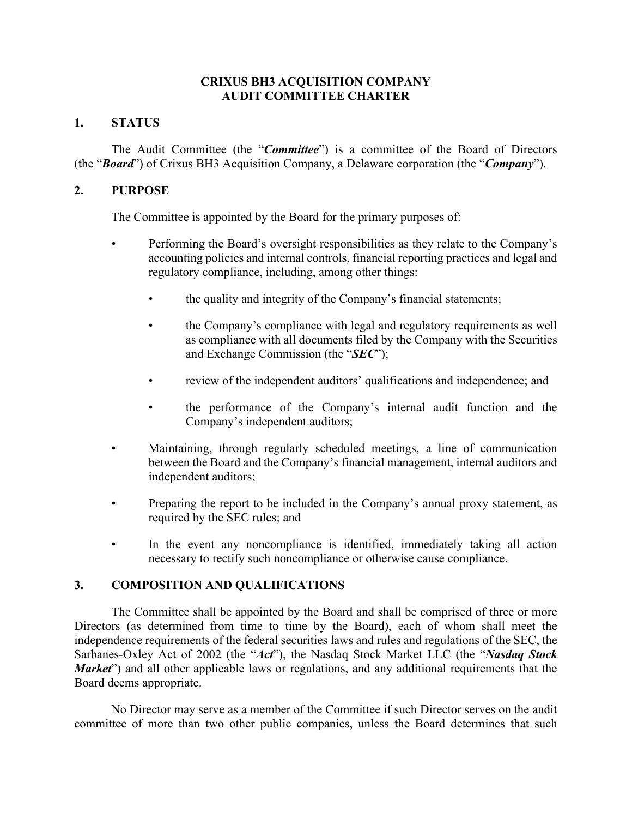### **CRIXUS BH3 ACQUISITION COMPANY AUDIT COMMITTEE CHARTER**

## **1. STATUS**

The Audit Committee (the "*Committee*") is a committee of the Board of Directors (the "*Board*") of Crixus BH3 Acquisition Company, a Delaware corporation (the "*Company*").

### **2. PURPOSE**

The Committee is appointed by the Board for the primary purposes of:

- Performing the Board's oversight responsibilities as they relate to the Company's accounting policies and internal controls, financial reporting practices and legal and regulatory compliance, including, among other things:
	- the quality and integrity of the Company's financial statements;
	- the Company's compliance with legal and regulatory requirements as well as compliance with all documents filed by the Company with the Securities and Exchange Commission (the "*SEC*");
	- review of the independent auditors' qualifications and independence; and
	- the performance of the Company's internal audit function and the Company's independent auditors;
- Maintaining, through regularly scheduled meetings, a line of communication between the Board and the Company's financial management, internal auditors and independent auditors;
- Preparing the report to be included in the Company's annual proxy statement, as required by the SEC rules; and
- In the event any noncompliance is identified, immediately taking all action necessary to rectify such noncompliance or otherwise cause compliance.

# **3. COMPOSITION AND QUALIFICATIONS**

The Committee shall be appointed by the Board and shall be comprised of three or more Directors (as determined from time to time by the Board), each of whom shall meet the independence requirements of the federal securities laws and rules and regulations of the SEC, the Sarbanes-Oxley Act of 2002 (the "*Act*"), the Nasdaq Stock Market LLC (the "*Nasdaq Stock Market*") and all other applicable laws or regulations, and any additional requirements that the Board deems appropriate.

No Director may serve as a member of the Committee if such Director serves on the audit committee of more than two other public companies, unless the Board determines that such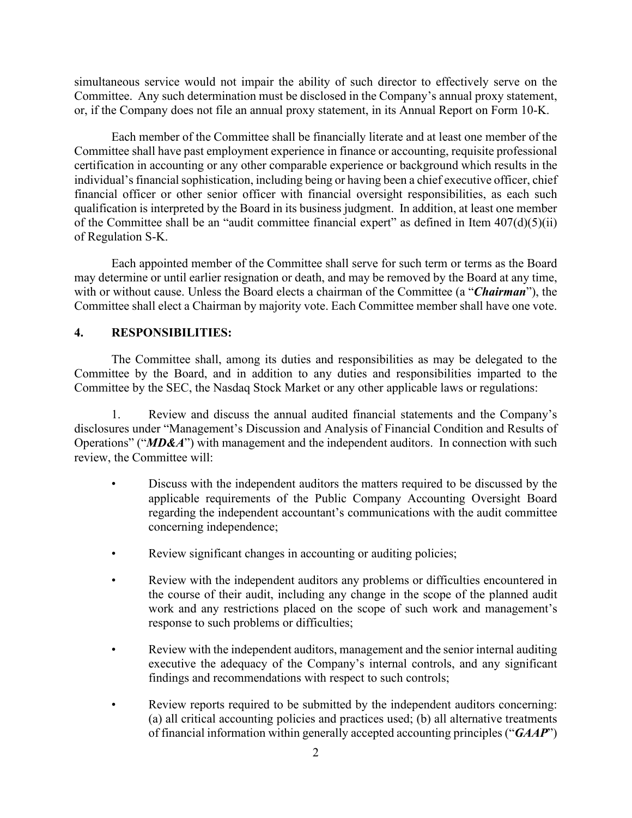simultaneous service would not impair the ability of such director to effectively serve on the Committee. Any such determination must be disclosed in the Company's annual proxy statement, or, if the Company does not file an annual proxy statement, in its Annual Report on Form 10-K.

Each member of the Committee shall be financially literate and at least one member of the Committee shall have past employment experience in finance or accounting, requisite professional certification in accounting or any other comparable experience or background which results in the individual's financial sophistication, including being or having been a chief executive officer, chief financial officer or other senior officer with financial oversight responsibilities, as each such qualification is interpreted by the Board in its business judgment. In addition, at least one member of the Committee shall be an "audit committee financial expert" as defined in Item 407(d)(5)(ii) of Regulation S-K.

Each appointed member of the Committee shall serve for such term or terms as the Board may determine or until earlier resignation or death, and may be removed by the Board at any time, with or without cause. Unless the Board elects a chairman of the Committee (a "*Chairman*"), the Committee shall elect a Chairman by majority vote. Each Committee member shall have one vote.

#### **4. RESPONSIBILITIES:**

The Committee shall, among its duties and responsibilities as may be delegated to the Committee by the Board, and in addition to any duties and responsibilities imparted to the Committee by the SEC, the Nasdaq Stock Market or any other applicable laws or regulations:

1. Review and discuss the annual audited financial statements and the Company's disclosures under "Management's Discussion and Analysis of Financial Condition and Results of Operations" ("*MD&A*") with management and the independent auditors. In connection with such review, the Committee will:

- Discuss with the independent auditors the matters required to be discussed by the applicable requirements of the Public Company Accounting Oversight Board regarding the independent accountant's communications with the audit committee concerning independence;
- Review significant changes in accounting or auditing policies;
- Review with the independent auditors any problems or difficulties encountered in the course of their audit, including any change in the scope of the planned audit work and any restrictions placed on the scope of such work and management's response to such problems or difficulties;
- Review with the independent auditors, management and the senior internal auditing executive the adequacy of the Company's internal controls, and any significant findings and recommendations with respect to such controls;
- Review reports required to be submitted by the independent auditors concerning: (a) all critical accounting policies and practices used; (b) all alternative treatments of financial information within generally accepted accounting principles ("*GAAP*")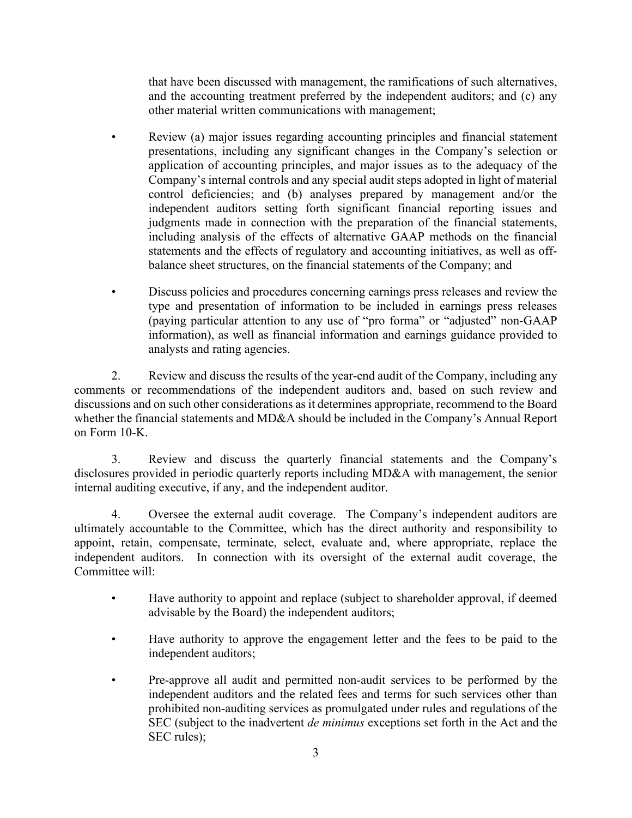that have been discussed with management, the ramifications of such alternatives, and the accounting treatment preferred by the independent auditors; and (c) any other material written communications with management;

- Review (a) major issues regarding accounting principles and financial statement presentations, including any significant changes in the Company's selection or application of accounting principles, and major issues as to the adequacy of the Company's internal controls and any special audit steps adopted in light of material control deficiencies; and (b) analyses prepared by management and/or the independent auditors setting forth significant financial reporting issues and judgments made in connection with the preparation of the financial statements, including analysis of the effects of alternative GAAP methods on the financial statements and the effects of regulatory and accounting initiatives, as well as offbalance sheet structures, on the financial statements of the Company; and
- Discuss policies and procedures concerning earnings press releases and review the type and presentation of information to be included in earnings press releases (paying particular attention to any use of "pro forma" or "adjusted" non-GAAP information), as well as financial information and earnings guidance provided to analysts and rating agencies.

2. Review and discuss the results of the year-end audit of the Company, including any comments or recommendations of the independent auditors and, based on such review and discussions and on such other considerations as it determines appropriate, recommend to the Board whether the financial statements and MD&A should be included in the Company's Annual Report on Form 10-K.

3. Review and discuss the quarterly financial statements and the Company's disclosures provided in periodic quarterly reports including MD&A with management, the senior internal auditing executive, if any, and the independent auditor.

4. Oversee the external audit coverage. The Company's independent auditors are ultimately accountable to the Committee, which has the direct authority and responsibility to appoint, retain, compensate, terminate, select, evaluate and, where appropriate, replace the independent auditors. In connection with its oversight of the external audit coverage, the Committee will:

- Have authority to appoint and replace (subject to shareholder approval, if deemed advisable by the Board) the independent auditors;
- Have authority to approve the engagement letter and the fees to be paid to the independent auditors;
- Pre-approve all audit and permitted non-audit services to be performed by the independent auditors and the related fees and terms for such services other than prohibited non-auditing services as promulgated under rules and regulations of the SEC (subject to the inadvertent *de minimus* exceptions set forth in the Act and the SEC rules);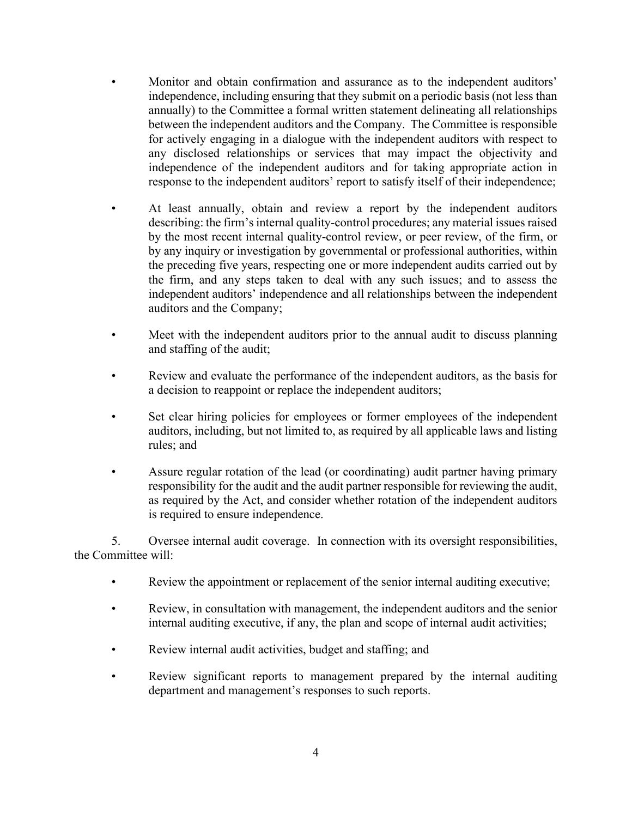- Monitor and obtain confirmation and assurance as to the independent auditors' independence, including ensuring that they submit on a periodic basis (not less than annually) to the Committee a formal written statement delineating all relationships between the independent auditors and the Company. The Committee is responsible for actively engaging in a dialogue with the independent auditors with respect to any disclosed relationships or services that may impact the objectivity and independence of the independent auditors and for taking appropriate action in response to the independent auditors' report to satisfy itself of their independence;
- At least annually, obtain and review a report by the independent auditors describing: the firm's internal quality-control procedures; any material issues raised by the most recent internal quality-control review, or peer review, of the firm, or by any inquiry or investigation by governmental or professional authorities, within the preceding five years, respecting one or more independent audits carried out by the firm, and any steps taken to deal with any such issues; and to assess the independent auditors' independence and all relationships between the independent auditors and the Company;
- Meet with the independent auditors prior to the annual audit to discuss planning and staffing of the audit;
- Review and evaluate the performance of the independent auditors, as the basis for a decision to reappoint or replace the independent auditors;
- Set clear hiring policies for employees or former employees of the independent auditors, including, but not limited to, as required by all applicable laws and listing rules; and
- Assure regular rotation of the lead (or coordinating) audit partner having primary responsibility for the audit and the audit partner responsible for reviewing the audit, as required by the Act, and consider whether rotation of the independent auditors is required to ensure independence.

5. Oversee internal audit coverage. In connection with its oversight responsibilities, the Committee will:

- Review the appointment or replacement of the senior internal auditing executive;
- Review, in consultation with management, the independent auditors and the senior internal auditing executive, if any, the plan and scope of internal audit activities;
- Review internal audit activities, budget and staffing; and
- Review significant reports to management prepared by the internal auditing department and management's responses to such reports.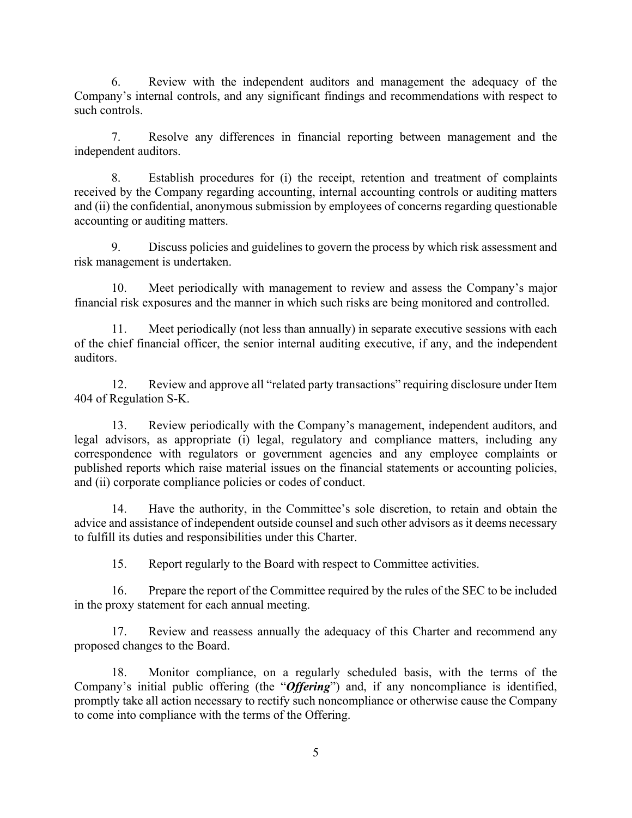6. Review with the independent auditors and management the adequacy of the Company's internal controls, and any significant findings and recommendations with respect to such controls.

7. Resolve any differences in financial reporting between management and the independent auditors.

8. Establish procedures for (i) the receipt, retention and treatment of complaints received by the Company regarding accounting, internal accounting controls or auditing matters and (ii) the confidential, anonymous submission by employees of concerns regarding questionable accounting or auditing matters.

9. Discuss policies and guidelines to govern the process by which risk assessment and risk management is undertaken.

10. Meet periodically with management to review and assess the Company's major financial risk exposures and the manner in which such risks are being monitored and controlled.

11. Meet periodically (not less than annually) in separate executive sessions with each of the chief financial officer, the senior internal auditing executive, if any, and the independent auditors.

12. Review and approve all "related party transactions" requiring disclosure under Item 404 of Regulation S-K.

13. Review periodically with the Company's management, independent auditors, and legal advisors, as appropriate (i) legal, regulatory and compliance matters, including any correspondence with regulators or government agencies and any employee complaints or published reports which raise material issues on the financial statements or accounting policies, and (ii) corporate compliance policies or codes of conduct.

14. Have the authority, in the Committee's sole discretion, to retain and obtain the advice and assistance of independent outside counsel and such other advisors as it deems necessary to fulfill its duties and responsibilities under this Charter.

15. Report regularly to the Board with respect to Committee activities.

16. Prepare the report of the Committee required by the rules of the SEC to be included in the proxy statement for each annual meeting.

17. Review and reassess annually the adequacy of this Charter and recommend any proposed changes to the Board.

18. Monitor compliance, on a regularly scheduled basis, with the terms of the Company's initial public offering (the "*Offering*") and, if any noncompliance is identified, promptly take all action necessary to rectify such noncompliance or otherwise cause the Company to come into compliance with the terms of the Offering.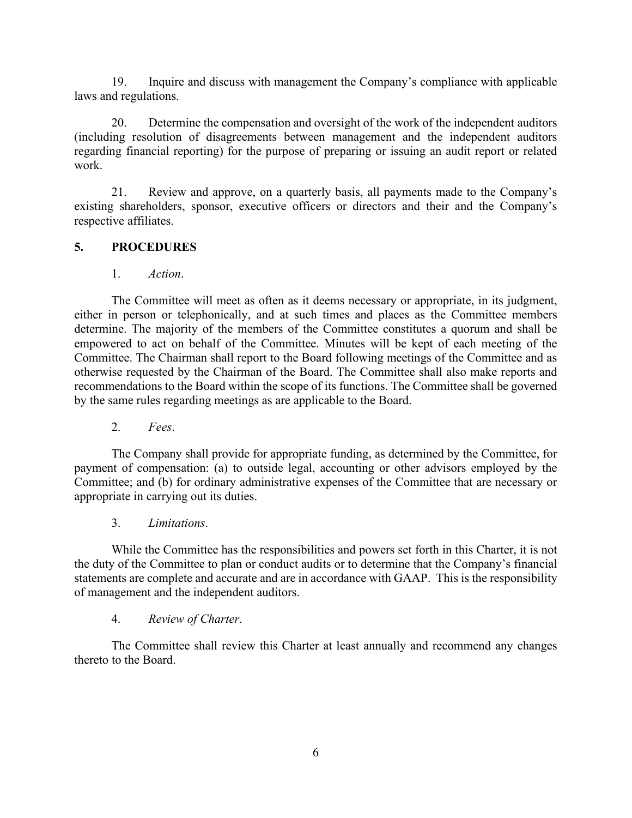19. Inquire and discuss with management the Company's compliance with applicable laws and regulations.

20. Determine the compensation and oversight of the work of the independent auditors (including resolution of disagreements between management and the independent auditors regarding financial reporting) for the purpose of preparing or issuing an audit report or related work.

21. Review and approve, on a quarterly basis, all payments made to the Company's existing shareholders, sponsor, executive officers or directors and their and the Company's respective affiliates.

# **5. PROCEDURES**

1. *Action*.

The Committee will meet as often as it deems necessary or appropriate, in its judgment, either in person or telephonically, and at such times and places as the Committee members determine. The majority of the members of the Committee constitutes a quorum and shall be empowered to act on behalf of the Committee. Minutes will be kept of each meeting of the Committee. The Chairman shall report to the Board following meetings of the Committee and as otherwise requested by the Chairman of the Board. The Committee shall also make reports and recommendations to the Board within the scope of its functions. The Committee shall be governed by the same rules regarding meetings as are applicable to the Board.

2. *Fees*.

The Company shall provide for appropriate funding, as determined by the Committee, for payment of compensation: (a) to outside legal, accounting or other advisors employed by the Committee; and (b) for ordinary administrative expenses of the Committee that are necessary or appropriate in carrying out its duties.

3. *Limitations*.

While the Committee has the responsibilities and powers set forth in this Charter, it is not the duty of the Committee to plan or conduct audits or to determine that the Company's financial statements are complete and accurate and are in accordance with GAAP. This is the responsibility of management and the independent auditors.

# 4. *Review of Charter*.

The Committee shall review this Charter at least annually and recommend any changes thereto to the Board.